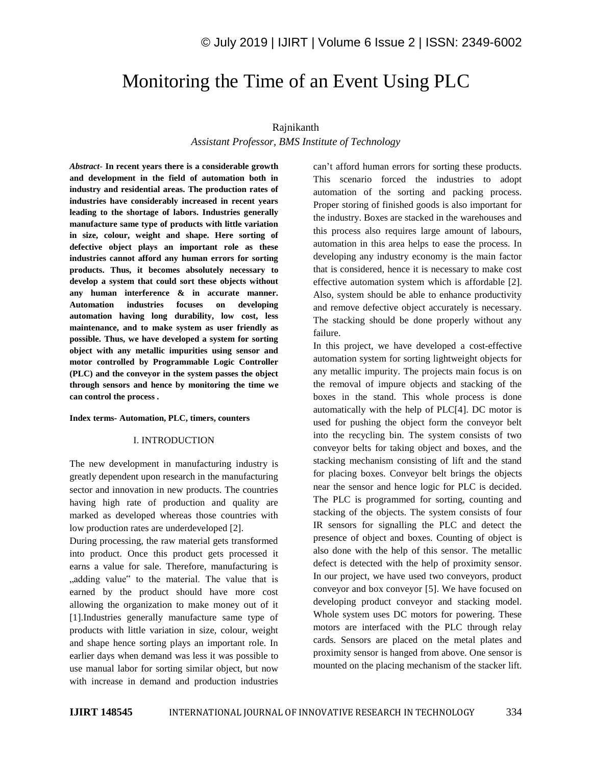# Monitoring the Time of an Event Using PLC

## Rajnikanth

*Assistant Professor, BMS Institute of Technology*

*Abstract*- **In recent years there is a considerable growth and development in the field of automation both in industry and residential areas. The production rates of industries have considerably increased in recent years leading to the shortage of labors. Industries generally manufacture same type of products with little variation in size, colour, weight and shape. Here sorting of defective object plays an important role as these industries cannot afford any human errors for sorting products. Thus, it becomes absolutely necessary to develop a system that could sort these objects without any human interference & in accurate manner. Automation industries focuses on developing automation having long durability, low cost, less maintenance, and to make system as user friendly as possible. Thus, we have developed a system for sorting object with any metallic impurities using sensor and motor controlled by Programmable Logic Controller (PLC) and the conveyor in the system passes the object through sensors and hence by monitoring the time we can control the process .**

#### **Index terms- Automation, PLC, timers, counters**

#### I. INTRODUCTION

The new development in manufacturing industry is greatly dependent upon research in the manufacturing sector and innovation in new products. The countries having high rate of production and quality are marked as developed whereas those countries with low production rates are underdeveloped [2].

During processing, the raw material gets transformed into product. Once this product gets processed it earns a value for sale. Therefore, manufacturing is ... adding value" to the material. The value that is earned by the product should have more cost allowing the organization to make money out of it [1].Industries generally manufacture same type of products with little variation in size, colour, weight and shape hence sorting plays an important role. In earlier days when demand was less it was possible to use manual labor for sorting similar object, but now with increase in demand and production industries

can't afford human errors for sorting these products. This scenario forced the industries to adopt automation of the sorting and packing process. Proper storing of finished goods is also important for the industry. Boxes are stacked in the warehouses and this process also requires large amount of labours, automation in this area helps to ease the process. In developing any industry economy is the main factor that is considered, hence it is necessary to make cost effective automation system which is affordable [2]. Also, system should be able to enhance productivity and remove defective object accurately is necessary. The stacking should be done properly without any failure.

In this project, we have developed a cost-effective automation system for sorting lightweight objects for any metallic impurity. The projects main focus is on the removal of impure objects and stacking of the boxes in the stand. This whole process is done automatically with the help of PLC[4]. DC motor is used for pushing the object form the conveyor belt into the recycling bin. The system consists of two conveyor belts for taking object and boxes, and the stacking mechanism consisting of lift and the stand for placing boxes. Conveyor belt brings the objects near the sensor and hence logic for PLC is decided. The PLC is programmed for sorting, counting and stacking of the objects. The system consists of four IR sensors for signalling the PLC and detect the presence of object and boxes. Counting of object is also done with the help of this sensor. The metallic defect is detected with the help of proximity sensor. In our project, we have used two conveyors, product conveyor and box conveyor [5]. We have focused on developing product conveyor and stacking model. Whole system uses DC motors for powering. These motors are interfaced with the PLC through relay cards. Sensors are placed on the metal plates and proximity sensor is hanged from above. One sensor is mounted on the placing mechanism of the stacker lift.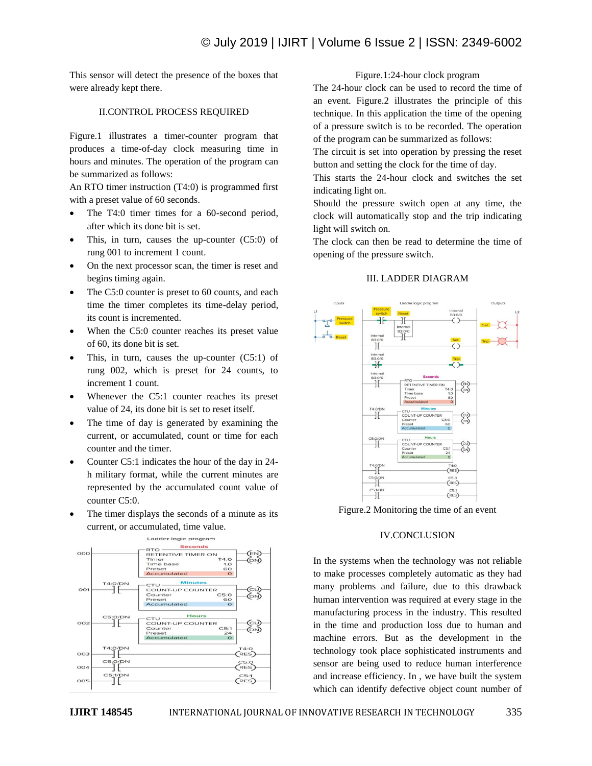This sensor will detect the presence of the boxes that were already kept there.

# II.CONTROL PROCESS REQUIRED

Figure.1 illustrates a timer-counter program that produces a time-of-day clock measuring time in hours and minutes. The operation of the program can be summarized as follows:

An RTO timer instruction (T4:0) is programmed first with a preset value of 60 seconds.

- The T4:0 timer times for a 60-second period, after which its done bit is set.
- This, in turn, causes the up-counter (C5:0) of rung 001 to increment 1 count.
- On the next processor scan, the timer is reset and begins timing again.
- The C5:0 counter is preset to 60 counts, and each time the timer completes its time-delay period, its count is incremented.
- When the C5:0 counter reaches its preset value of 60, its done bit is set.
- This, in turn, causes the up-counter (C5:1) of rung 002, which is preset for 24 counts, to increment 1 count.
- Whenever the C5:1 counter reaches its preset value of 24, its done bit is set to reset itself.
- The time of day is generated by examining the current, or accumulated, count or time for each counter and the timer.
- Counter C5:1 indicates the hour of the day in 24 h military format, while the current minutes are represented by the accumulated count value of counter C5:0.
- The timer displays the seconds of a minute as its current, or accumulated, time value.



## Figure.1:24-hour clock program

The 24-hour clock can be used to record the time of an event. Figure.2 illustrates the principle of this technique. In this application the time of the opening of a pressure switch is to be recorded. The operation of the program can be summarized as follows:

The circuit is set into operation by pressing the reset button and setting the clock for the time of day.

This starts the 24-hour clock and switches the set indicating light on.

Should the pressure switch open at any time, the clock will automatically stop and the trip indicating light will switch on.

The clock can then be read to determine the time of opening of the pressure switch.

### III. LADDER DIAGRAM



Figure.2 Monitoring the time of an event

### IV.CONCLUSION

In the systems when the technology was not reliable to make processes completely automatic as they had many problems and failure, due to this drawback human intervention was required at every stage in the manufacturing process in the industry. This resulted in the time and production loss due to human and machine errors. But as the development in the technology took place sophisticated instruments and sensor are being used to reduce human interference and increase efficiency. In , we have built the system which can identify defective object count number of